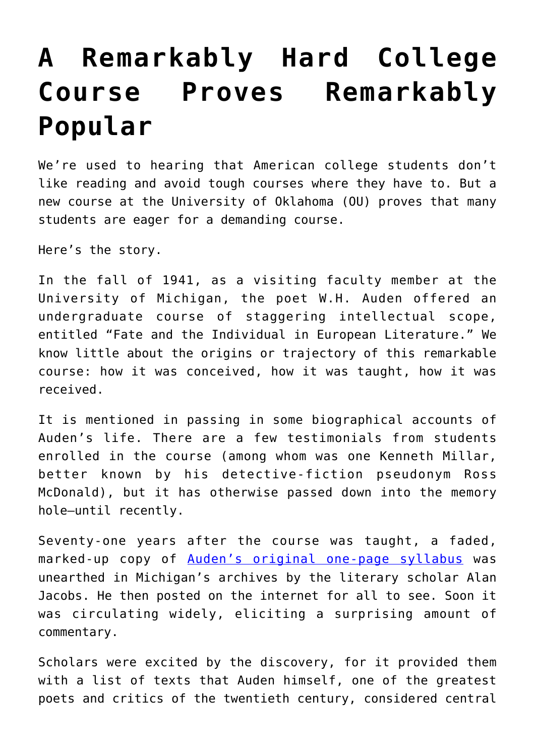## **[A Remarkably Hard College](https://intellectualtakeout.org/2018/10/a-remarkably-hard-college-course-proves-remarkably-popular/) [Course Proves Remarkably](https://intellectualtakeout.org/2018/10/a-remarkably-hard-college-course-proves-remarkably-popular/) [Popular](https://intellectualtakeout.org/2018/10/a-remarkably-hard-college-course-proves-remarkably-popular/)**

We're used to hearing that American college students don't like reading and avoid tough courses where they have to. But a new course at the University of Oklahoma (OU) proves that many students are eager for a demanding course.

Here's the story.

In the fall of 1941, as a visiting faculty member at the University of Michigan, the poet W.H. Auden offered an undergraduate course of staggering intellectual scope, entitled "Fate and the Individual in European Literature." We know little about the origins or trajectory of this remarkable course: how it was conceived, how it was taught, how it was received.

It is mentioned in passing in some biographical accounts of Auden's life. There are a few testimonials from students enrolled in the course (among whom was one Kenneth Millar, better known by his detective-fiction pseudonym Ross McDonald), but it has otherwise passed down into the memory hole—until recently.

Seventy-one years after the course was taught, a faded, marked-up copy of [Auden's original one-page syllabus](http://www.openculture.com/2013/02/wh_audens_1941_literature_syllabus_asks_students_to_read_32_great_works_covering_6000_pages_.html) was unearthed in Michigan's archives by the literary scholar Alan Jacobs. He then posted on the internet for all to see. Soon it was circulating widely, eliciting a surprising amount of commentary.

Scholars were excited by the discovery, for it provided them with a list of texts that Auden himself, one of the greatest poets and critics of the twentieth century, considered central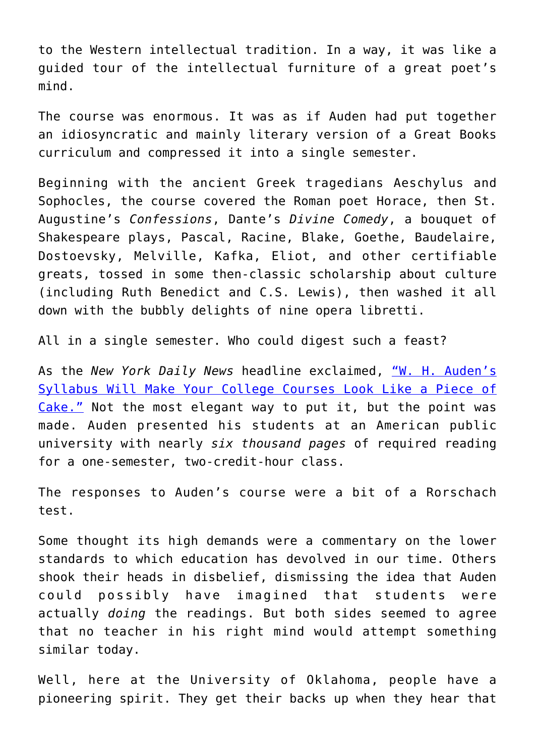to the Western intellectual tradition. In a way, it was like a guided tour of the intellectual furniture of a great poet's mind.

The course was enormous. It was as if Auden had put together an idiosyncratic and mainly literary version of a Great Books curriculum and compressed it into a single semester.

Beginning with the ancient Greek tragedians Aeschylus and Sophocles, the course covered the Roman poet Horace, then St. Augustine's *Confessions*, Dante's *Divine Comedy*, a bouquet of Shakespeare plays, Pascal, Racine, Blake, Goethe, Baudelaire, Dostoevsky, Melville, Kafka, Eliot, and other certifiable greats, tossed in some then-classic scholarship about culture (including Ruth Benedict and C.S. Lewis), then washed it all down with the bubbly delights of nine opera libretti.

All in a single semester. Who could digest such a feast?

As the *New York Daily News* headline exclaimed, ["W. H. Auden's](http://www.nydailynews.com/blogs/pageviews/w-h-auden-syllabus-college-courses-piece-cake-blog-entry-1.1639980) [Syllabus Will Make Your College Courses Look Like a Piece of](http://www.nydailynews.com/blogs/pageviews/w-h-auden-syllabus-college-courses-piece-cake-blog-entry-1.1639980) [Cake."](http://www.nydailynews.com/blogs/pageviews/w-h-auden-syllabus-college-courses-piece-cake-blog-entry-1.1639980) Not the most elegant way to put it, but the point was made. Auden presented his students at an American public university with nearly *six thousand pages* of required reading for a one-semester, two-credit-hour class.

The responses to Auden's course were a bit of a Rorschach test.

Some thought its high demands were a commentary on the lower standards to which education has devolved in our time. Others shook their heads in disbelief, dismissing the idea that Auden could possibly have imagined that students were actually *doing* the readings. But both sides seemed to agree that no teacher in his right mind would attempt something similar today.

Well, here at the University of Oklahoma, people have a pioneering spirit. They get their backs up when they hear that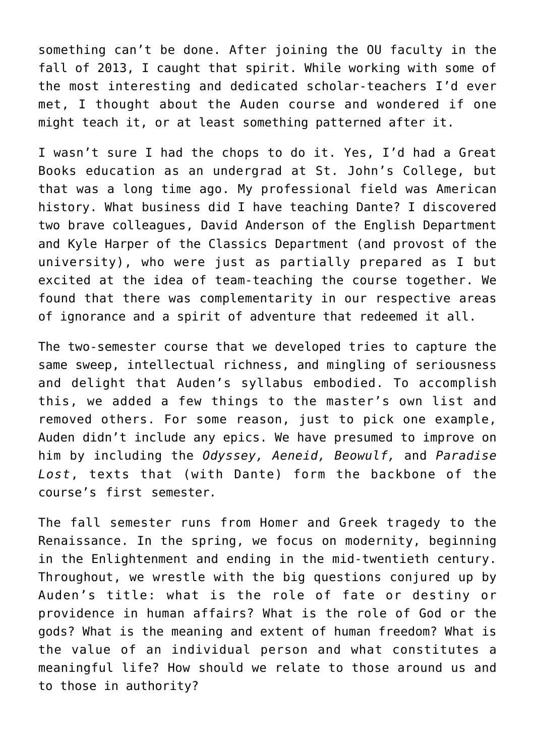something can't be done. After joining the OU faculty in the fall of 2013, I caught that spirit. While working with some of the most interesting and dedicated scholar-teachers I'd ever met, I thought about the Auden course and wondered if one might teach it, or at least something patterned after it.

I wasn't sure I had the chops to do it. Yes, I'd had a Great Books education as an undergrad at St. John's College, but that was a long time ago. My professional field was American history. What business did I have teaching Dante? I discovered two brave colleagues, David Anderson of the English Department and Kyle Harper of the Classics Department (and provost of the university), who were just as partially prepared as I but excited at the idea of team-teaching the course together. We found that there was complementarity in our respective areas of ignorance and a spirit of adventure that redeemed it all.

The two-semester course that we developed tries to capture the same sweep, intellectual richness, and mingling of seriousness and delight that Auden's syllabus embodied. To accomplish this, we added a few things to the master's own list and removed others. For some reason, just to pick one example, Auden didn't include any epics. We have presumed to improve on him by including the *Odyssey, Aeneid, Beowulf,* and *Paradise Lost*, texts that (with Dante) form the backbone of the course's first semester*.*

The fall semester runs from Homer and Greek tragedy to the Renaissance. In the spring, we focus on modernity, beginning in the Enlightenment and ending in the mid-twentieth century. Throughout, we wrestle with the big questions conjured up by Auden's title: what is the role of fate or destiny or providence in human affairs? What is the role of God or the gods? What is the meaning and extent of human freedom? What is the value of an individual person and what constitutes a meaningful life? How should we relate to those around us and to those in authority?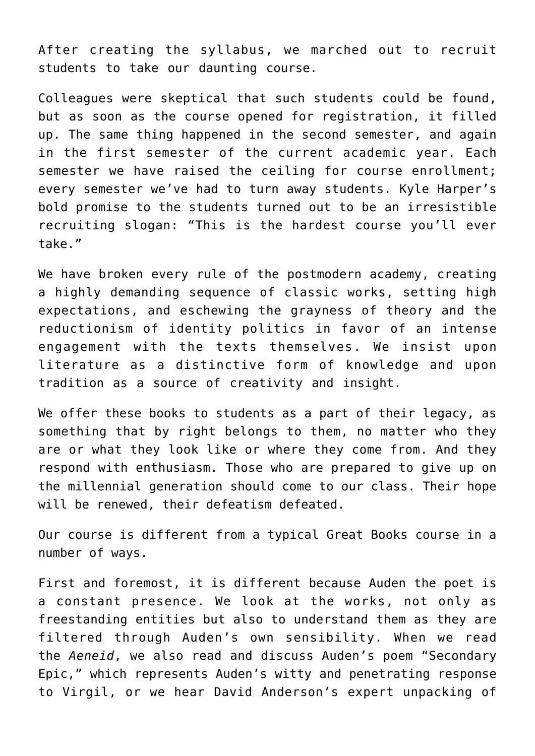After creating the syllabus, we marched out to recruit students to take our daunting course.

Colleagues were skeptical that such students could be found, but as soon as the course opened for registration, it filled up. The same thing happened in the second semester, and again in the first semester of the current academic year. Each semester we have raised the ceiling for course enrollment; every semester we've had to turn away students. Kyle Harper's bold promise to the students turned out to be an irresistible recruiting slogan: "This is the hardest course you'll ever take."

We have broken every rule of the postmodern academy, creating a highly demanding sequence of classic works, setting high expectations, and eschewing the grayness of theory and the reductionism of identity politics in favor of an intense engagement with the texts themselves. We insist upon literature as a distinctive form of knowledge and upon tradition as a source of creativity and insight.

We offer these books to students as a part of their legacy, as something that by right belongs to them, no matter who they are or what they look like or where they come from. And they respond with enthusiasm. Those who are prepared to give up on the millennial generation should come to our class. Their hope will be renewed, their defeatism defeated.

Our course is different from a typical Great Books course in a number of ways.

First and foremost, it is different because Auden the poet is a constant presence. We look at the works, not only as freestanding entities but also to understand them as they are filtered through Auden's own sensibility. When we read the *Aeneid*, we also read and discuss Auden's poem "Secondary Epic," which represents Auden's witty and penetrating response to Virgil, or we hear David Anderson's expert unpacking of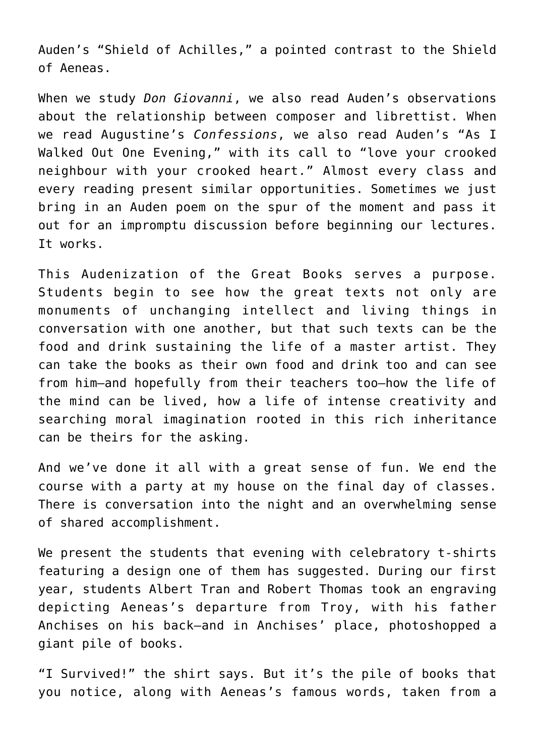Auden's "Shield of Achilles," a pointed contrast to the Shield of Aeneas.

When we study *Don Giovanni*, we also read Auden's observations about the relationship between composer and librettist. When we read Augustine's *Confessions*, we also read Auden's "As I Walked Out One Evening," with its call to "love your crooked neighbour with your crooked heart." Almost every class and every reading present similar opportunities. Sometimes we just bring in an Auden poem on the spur of the moment and pass it out for an impromptu discussion before beginning our lectures. It works.

This Audenization of the Great Books serves a purpose. Students begin to see how the great texts not only are monuments of unchanging intellect and living things in conversation with one another, but that such texts can be the food and drink sustaining the life of a master artist. They can take the books as their own food and drink too and can see from him—and hopefully from their teachers too—how the life of the mind can be lived, how a life of intense creativity and searching moral imagination rooted in this rich inheritance can be theirs for the asking.

And we've done it all with a great sense of fun. We end the course with a party at my house on the final day of classes. There is conversation into the night and an overwhelming sense of shared accomplishment.

We present the students that evening with celebratory t-shirts featuring a design one of them has suggested. During our first year, students Albert Tran and Robert Thomas took an engraving depicting Aeneas's departure from Troy, with his father Anchises on his back—and in Anchises' place, photoshopped a giant pile of books.

"I Survived!" the shirt says. But it's the pile of books that you notice, along with Aeneas's famous words, taken from a